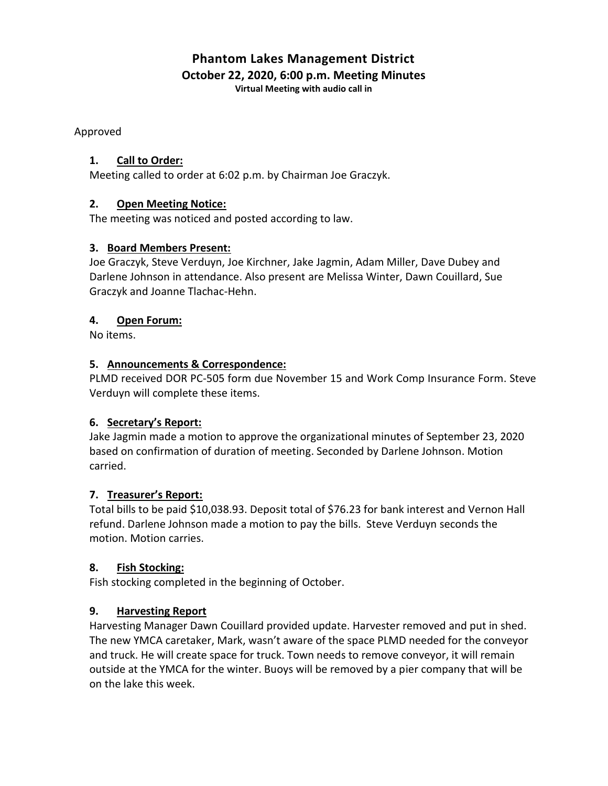# **Phantom Lakes Management District October 22, 2020, 6:00 p.m. Meeting Minutes**

**Virtual Meeting with audio call in**

Approved

## **1. Call to Order:**

Meeting called to order at 6:02 p.m. by Chairman Joe Graczyk.

## **2. Open Meeting Notice:**

The meeting was noticed and posted according to law.

## **3. Board Members Present:**

Joe Graczyk, Steve Verduyn, Joe Kirchner, Jake Jagmin, Adam Miller, Dave Dubey and Darlene Johnson in attendance. Also present are Melissa Winter, Dawn Couillard, Sue Graczyk and Joanne Tlachac-Hehn.

## **4. Open Forum:**

No items.

## **5. Announcements & Correspondence:**

PLMD received DOR PC-505 form due November 15 and Work Comp Insurance Form. Steve Verduyn will complete these items.

## **6. Secretary's Report:**

Jake Jagmin made a motion to approve the organizational minutes of September 23, 2020 based on confirmation of duration of meeting. Seconded by Darlene Johnson. Motion carried.

#### **7. Treasurer's Report:**

Total bills to be paid \$10,038.93. Deposit total of \$76.23 for bank interest and Vernon Hall refund. Darlene Johnson made a motion to pay the bills. Steve Verduyn seconds the motion. Motion carries.

#### **8. Fish Stocking:**

Fish stocking completed in the beginning of October.

## **9. Harvesting Report**

Harvesting Manager Dawn Couillard provided update. Harvester removed and put in shed. The new YMCA caretaker, Mark, wasn't aware of the space PLMD needed for the conveyor and truck. He will create space for truck. Town needs to remove conveyor, it will remain outside at the YMCA for the winter. Buoys will be removed by a pier company that will be on the lake this week.